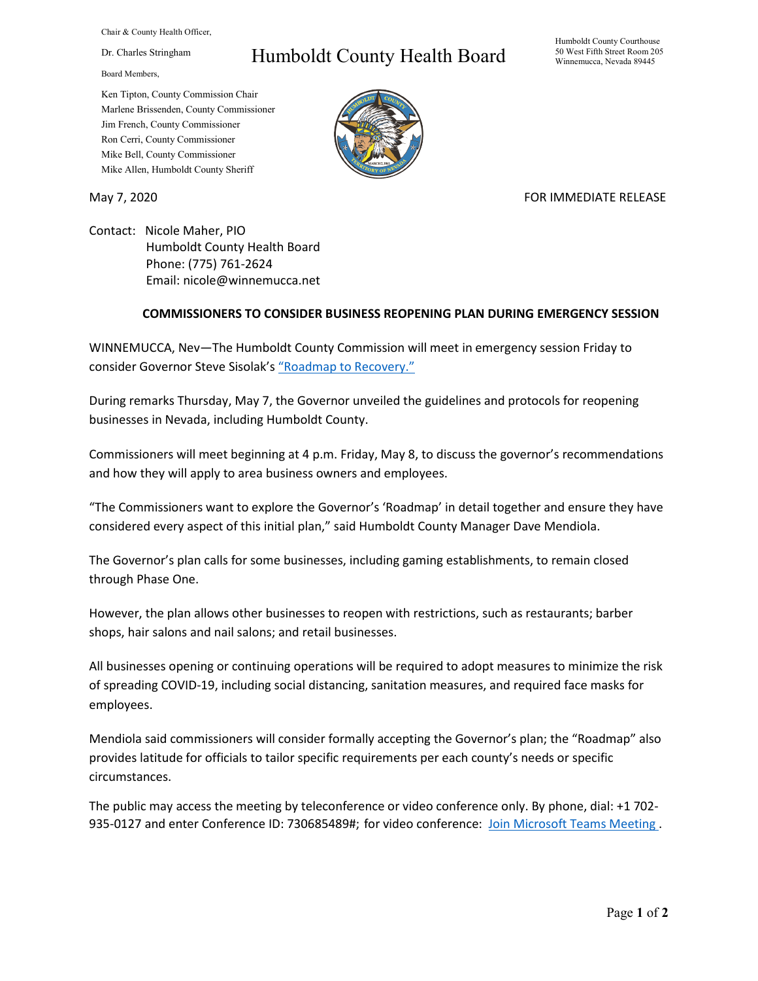Chair & County Health Officer,

Dr. Charles Stringham

Board Members,

## Humboldt County Health Board

Humboldt County Courthouse 50 West Fifth Street Room 205 Winnemucca, Nevada 89445

Ken Tipton, County Commission Chair Marlene Brissenden, County Commissioner Jim French, County Commissioner Ron Cerri, County Commissioner Mike Bell, County Commissioner Mike Allen, Humboldt County Sheriff

May 7, 2020 FOR IMMEDIATE RELEASE

Contact: Nicole Maher, PIO Humboldt County Health Board Phone: (775) 761-2624 Email: nicole@winnemucca.net

## **COMMISSIONERS TO CONSIDER BUSINESS REOPENING PLAN DURING EMERGENCY SESSION**

WINNEMUCCA, Nev—The Humboldt County Commission will meet in emergency session Friday to consider Governor Steve Sisolak'[s "Roadmap to Recovery."](https://nvhealthresponse.nv.gov/wp-content/uploads/2020/05/Roadmap-to-Recovery-Phase-One-Initial-Guidance.pdf)

During remarks Thursday, May 7, the Governor unveiled the guidelines and protocols for reopening businesses in Nevada, including Humboldt County.

Commissioners will meet beginning at 4 p.m. Friday, May 8, to discuss the governor's recommendations and how they will apply to area business owners and employees.

"The Commissioners want to explore the Governor's 'Roadmap' in detail together and ensure they have considered every aspect of this initial plan," said Humboldt County Manager Dave Mendiola.

The Governor's plan calls for some businesses, including gaming establishments, to remain closed through Phase One.

However, the plan allows other businesses to reopen with restrictions, such as restaurants; barber shops, hair salons and nail salons; and retail businesses.

All businesses opening or continuing operations will be required to adopt measures to minimize the risk of spreading COVID-19, including social distancing, sanitation measures, and required face masks for employees.

Mendiola said commissioners will consider formally accepting the Governor's plan; the "Roadmap" also provides latitude for officials to tailor specific requirements per each county's needs or specific circumstances.

The public may access the meeting by teleconference or video conference only. By phone, dial: +1 702- 935-0127 and enter Conference ID: 730685489#; for video conference: [Join Microsoft Teams Meeting](https://teams.microsoft.com/l/meetup-join/19%3a5abca5edda404bd1bcf1a22d1d7adfb8%40thread.skype/1588905432025?context=%7b%22Tid%22%3a%221f916fc9-42a5-4df4-aa73-a286ee089776%22%2c%22Oid%22%3a%221e10c4e8-675f-4494-97ed-4c4c4fd69453%22%7d).